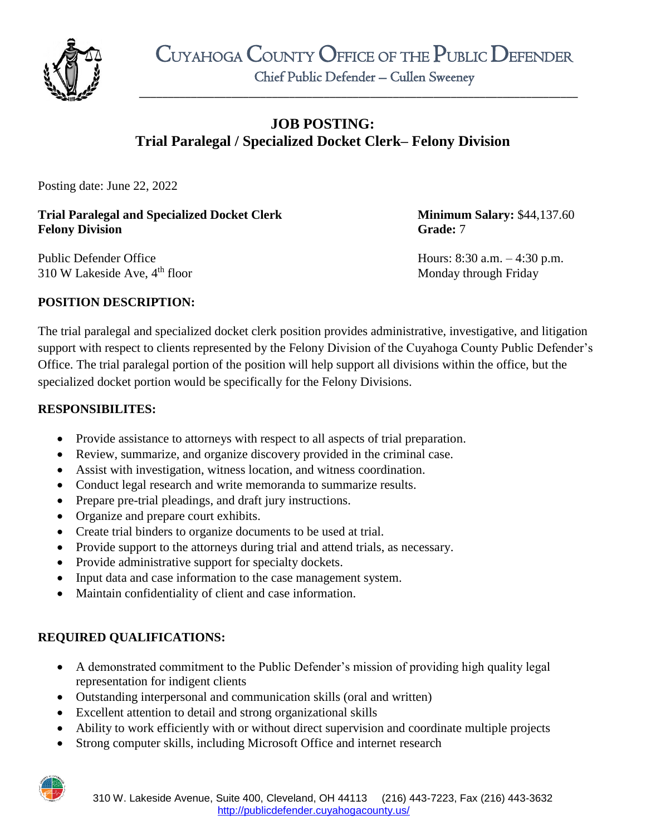

\_\_\_\_\_\_\_\_\_\_\_\_\_\_\_\_\_\_\_\_\_\_\_\_\_\_\_\_\_\_\_\_\_\_\_\_\_\_\_\_\_\_\_\_\_\_\_\_\_\_\_\_\_\_\_\_\_\_\_\_\_\_\_\_\_\_\_\_\_\_\_\_\_\_\_\_

# **JOB POSTING: Trial Paralegal / Specialized Docket Clerk– Felony Division**

Posting date: June 22, 2022

#### **Trial Paralegal and Specialized Docket Clerk Minimum Salary: \$44,137.60 Felony Division Grade:** 7

Public Defender Office Hours: 8:30 a.m. – 4:30 p.m. 310 W Lakeside Ave, 4<sup>th</sup> floor Monday through Friday

## **POSITION DESCRIPTION:**

The trial paralegal and specialized docket clerk position provides administrative, investigative, and litigation support with respect to clients represented by the Felony Division of the Cuyahoga County Public Defender's Office. The trial paralegal portion of the position will help support all divisions within the office, but the specialized docket portion would be specifically for the Felony Divisions.

#### **RESPONSIBILITES:**

- Provide assistance to attorneys with respect to all aspects of trial preparation.
- Review, summarize, and organize discovery provided in the criminal case.
- Assist with investigation, witness location, and witness coordination.
- Conduct legal research and write memoranda to summarize results.
- Prepare pre-trial pleadings, and draft jury instructions.
- Organize and prepare court exhibits.
- Create trial binders to organize documents to be used at trial.
- Provide support to the attorneys during trial and attend trials, as necessary.
- Provide administrative support for specialty dockets.
- Input data and case information to the case management system.
- Maintain confidentiality of client and case information.

## **REQUIRED QUALIFICATIONS:**

- A demonstrated commitment to the Public Defender's mission of providing high quality legal representation for indigent clients
- Outstanding interpersonal and communication skills (oral and written)
- Excellent attention to detail and strong organizational skills
- Ability to work efficiently with or without direct supervision and coordinate multiple projects
- Strong computer skills, including Microsoft Office and internet research